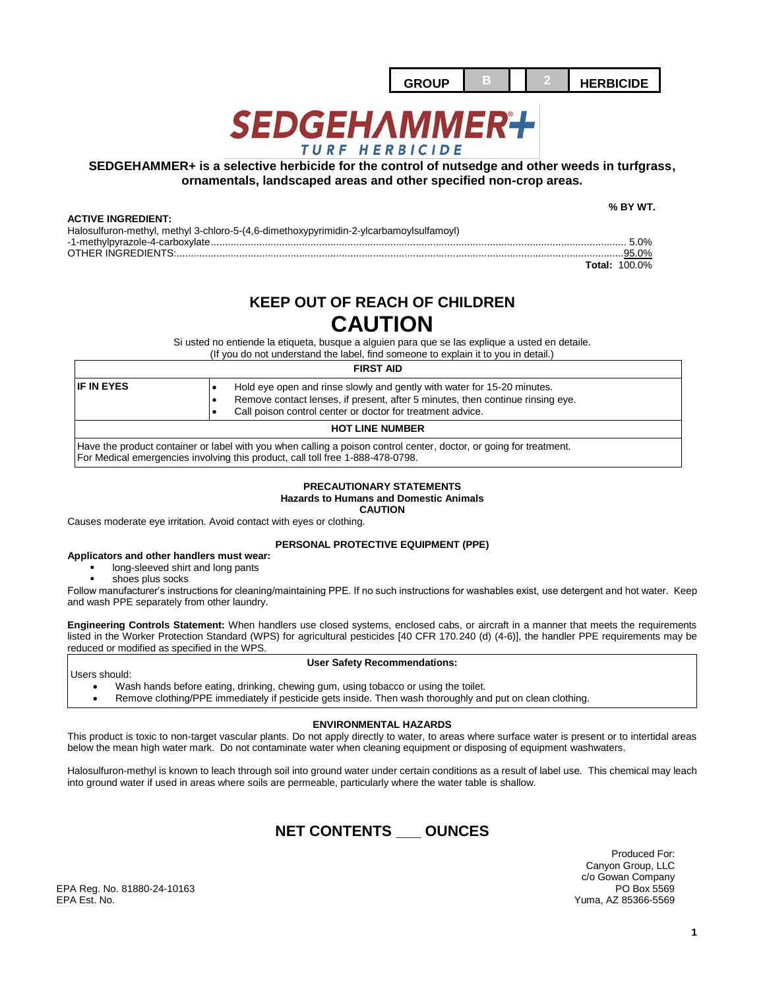

# **SEDGEHAMMER+** TURF HERBICIDE

## **SEDGEHAMMER+ is a selective herbicide for the control of nutsedge and other weeds in turfgrass, ornamentals, landscaped areas and other specified non-crop areas.**

## **ACTIVE INGREDIENT:**

 **% BY WT.**

| AVIIVE INGILPIENT.                                                                     |       |
|----------------------------------------------------------------------------------------|-------|
| Halosulfuron-methyl, methyl 3-chloro-5-(4,6-dimethoxypyrimidin-2-ylcarbamoylsulfamoyl) |       |
|                                                                                        |       |
|                                                                                        | 95.0% |
|                                                                                        |       |

OTHER INGREDIENTS:.............................................................................................................................................................95.0% **Total:** 100.0%

## **KEEP OUT OF REACH OF CHILDREN CAUTION**

Si usted no entiende la etiqueta, busque a alguien para que se las explique a usted en detaile.

(If you do not understand the label, find someone to explain it to you in detail.)

## **FIRST AID**

| <b>IF IN EYES</b>                                                                                                                                                                                    | Hold eye open and rinse slowly and gently with water for 15-20 minutes.<br>Remove contact lenses, if present, after 5 minutes, then continue rinsing eye.<br>Call poison control center or doctor for treatment advice. |  |  |  |
|------------------------------------------------------------------------------------------------------------------------------------------------------------------------------------------------------|-------------------------------------------------------------------------------------------------------------------------------------------------------------------------------------------------------------------------|--|--|--|
| <b>HOT LINE NUMBER</b>                                                                                                                                                                               |                                                                                                                                                                                                                         |  |  |  |
| Have the product container or label with you when calling a poison control center, doctor, or going for treatment.<br>For Medical emergencies involving this product, call toll free 1-888-478-0798. |                                                                                                                                                                                                                         |  |  |  |

#### **PRECAUTIONARY STATEMENTS Hazards to Humans and Domestic Animals CAUTION**

Causes moderate eye irritation. Avoid contact with eyes or clothing.

## **PERSONAL PROTECTIVE EQUIPMENT (PPE)**

- **Applicators and other handlers must wear:**
	- long-sleeved shirt and long pants
	- shoes plus socks

Follow manufacturer's instructions for cleaning/maintaining PPE. If no such instructions for washables exist, use detergent and hot water. Keep and wash PPE separately from other laundry.

**Engineering Controls Statement:** When handlers use closed systems, enclosed cabs, or aircraft in a manner that meets the requirements listed in the Worker Protection Standard (WPS) for agricultural pesticides [40 CFR 170.240 (d) (4-6)], the handler PPE requirements may be reduced or modified as specified in the WPS.

Users should:

### **User Safety Recommendations:**

- Wash hands before eating, drinking, chewing gum, using tobacco or using the toilet.
- Remove clothing/PPE immediately if pesticide gets inside. Then wash thoroughly and put on clean clothing.

## **ENVIRONMENTAL HAZARDS**

This product is toxic to non-target vascular plants. Do not apply directly to water, to areas where surface water is present or to intertidal areas below the mean high water mark. Do not contaminate water when cleaning equipment or disposing of equipment washwaters.

Halosulfuron-methyl is known to leach through soil into ground water under certain conditions as a result of label use. This chemical may leach into ground water if used in areas where soils are permeable, particularly where the water table is shallow.

## **NET CONTENTS \_\_\_ OUNCES**

Produced For: Canyon Group, LLC c/o Gowan Company Yuma, AZ 85366-5569

EPA Reg. No. 81880-24-10163<br>EPA Est. No.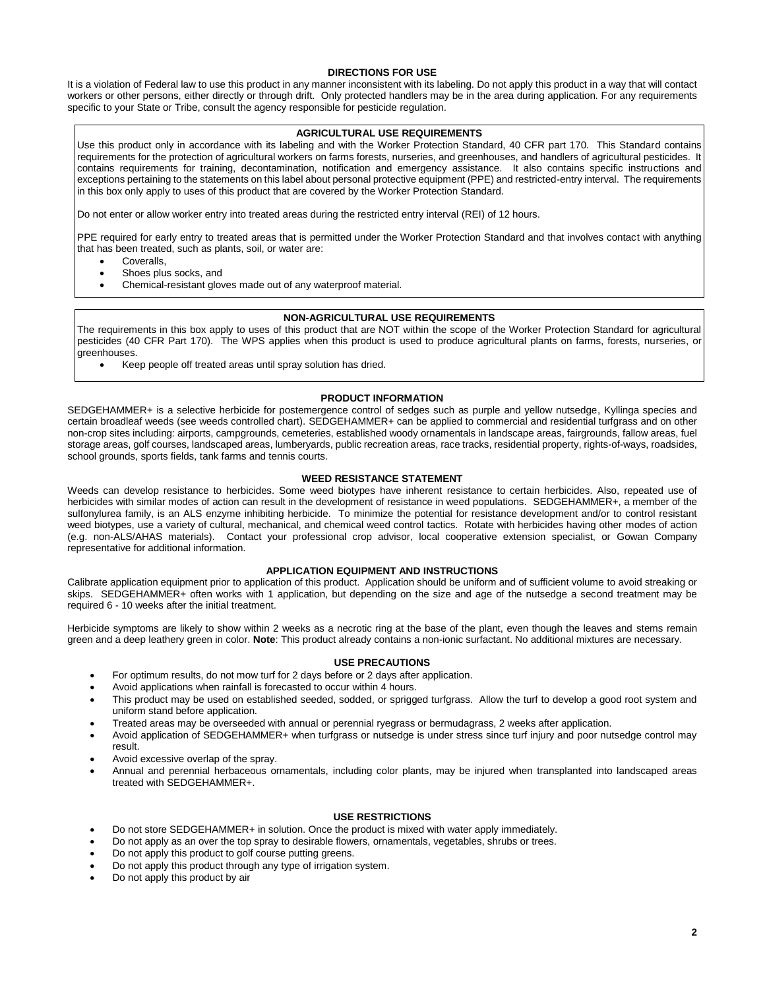## **DIRECTIONS FOR USE**

It is a violation of Federal law to use this product in any manner inconsistent with its labeling. Do not apply this product in a way that will contact workers or other persons, either directly or through drift. Only protected handlers may be in the area during application. For any requirements specific to your State or Tribe, consult the agency responsible for pesticide regulation.

## **AGRICULTURAL USE REQUIREMENTS**

Use this product only in accordance with its labeling and with the Worker Protection Standard, 40 CFR part 170. This Standard contains requirements for the protection of agricultural workers on farms forests, nurseries, and greenhouses, and handlers of agricultural pesticides. It contains requirements for training, decontamination, notification and emergency assistance. It also contains specific instructions and exceptions pertaining to the statements on this label about personal protective equipment (PPE) and restricted-entry interval. The requirements in this box only apply to uses of this product that are covered by the Worker Protection Standard.

Do not enter or allow worker entry into treated areas during the restricted entry interval (REI) of 12 hours.

PPE required for early entry to treated areas that is permitted under the Worker Protection Standard and that involves contact with anything that has been treated, such as plants, soil, or water are:

- **Coveralls**
- Shoes plus socks, and
- Chemical-resistant gloves made out of any waterproof material.

## **NON-AGRICULTURAL USE REQUIREMENTS**

The requirements in this box apply to uses of this product that are NOT within the scope of the Worker Protection Standard for agricultural pesticides (40 CFR Part 170). The WPS applies when this product is used to produce agricultural plants on farms, forests, nurseries, or greenhouses.

Keep people off treated areas until spray solution has dried.

## **PRODUCT INFORMATION**

SEDGEHAMMER+ is a selective herbicide for postemergence control of sedges such as purple and yellow nutsedge, Kyllinga species and certain broadleaf weeds (see weeds controlled chart). SEDGEHAMMER+ can be applied to commercial and residential turfgrass and on other non-crop sites including: airports, campgrounds, cemeteries, established woody ornamentals in landscape areas, fairgrounds, fallow areas, fuel storage areas, golf courses, landscaped areas, lumberyards, public recreation areas, race tracks, residential property, rights-of-ways, roadsides, school grounds, sports fields, tank farms and tennis courts.

## **WEED RESISTANCE STATEMENT**

Weeds can develop resistance to herbicides. Some weed biotypes have inherent resistance to certain herbicides. Also, repeated use of herbicides with similar modes of action can result in the development of resistance in weed populations. SEDGEHAMMER+, a member of the sulfonylurea family, is an ALS enzyme inhibiting herbicide. To minimize the potential for resistance development and/or to control resistant weed biotypes, use a variety of cultural, mechanical, and chemical weed control tactics. Rotate with herbicides having other modes of action (e.g. non-ALS/AHAS materials). Contact your professional crop advisor, local cooperative extension specialist, or Gowan Company representative for additional information.

### **APPLICATION EQUIPMENT AND INSTRUCTIONS**

Calibrate application equipment prior to application of this product. Application should be uniform and of sufficient volume to avoid streaking or skips. SEDGEHAMMER+ often works with 1 application, but depending on the size and age of the nutsedge a second treatment may be required 6 - 10 weeks after the initial treatment.

Herbicide symptoms are likely to show within 2 weeks as a necrotic ring at the base of the plant, even though the leaves and stems remain green and a deep leathery green in color. **Note**: This product already contains a non-ionic surfactant. No additional mixtures are necessary.

#### **USE PRECAUTIONS**

- For optimum results, do not mow turf for 2 days before or 2 days after application.
- Avoid applications when rainfall is forecasted to occur within 4 hours.
- This product may be used on established seeded, sodded, or sprigged turfgrass. Allow the turf to develop a good root system and uniform stand before application.
- Treated areas may be overseeded with annual or perennial ryegrass or bermudagrass, 2 weeks after application.
- Avoid application of SEDGEHAMMER+ when turfgrass or nutsedge is under stress since turf injury and poor nutsedge control may result.
- Avoid excessive overlap of the spray.
- Annual and perennial herbaceous ornamentals, including color plants, may be injured when transplanted into landscaped areas treated with SEDGEHAMMER+.

#### **USE RESTRICTIONS**

- Do not store SEDGEHAMMER+ in solution. Once the product is mixed with water apply immediately.
- Do not apply as an over the top spray to desirable flowers, ornamentals, vegetables, shrubs or trees.
- Do not apply this product to golf course putting greens.
- Do not apply this product through any type of irrigation system.
- Do not apply this product by air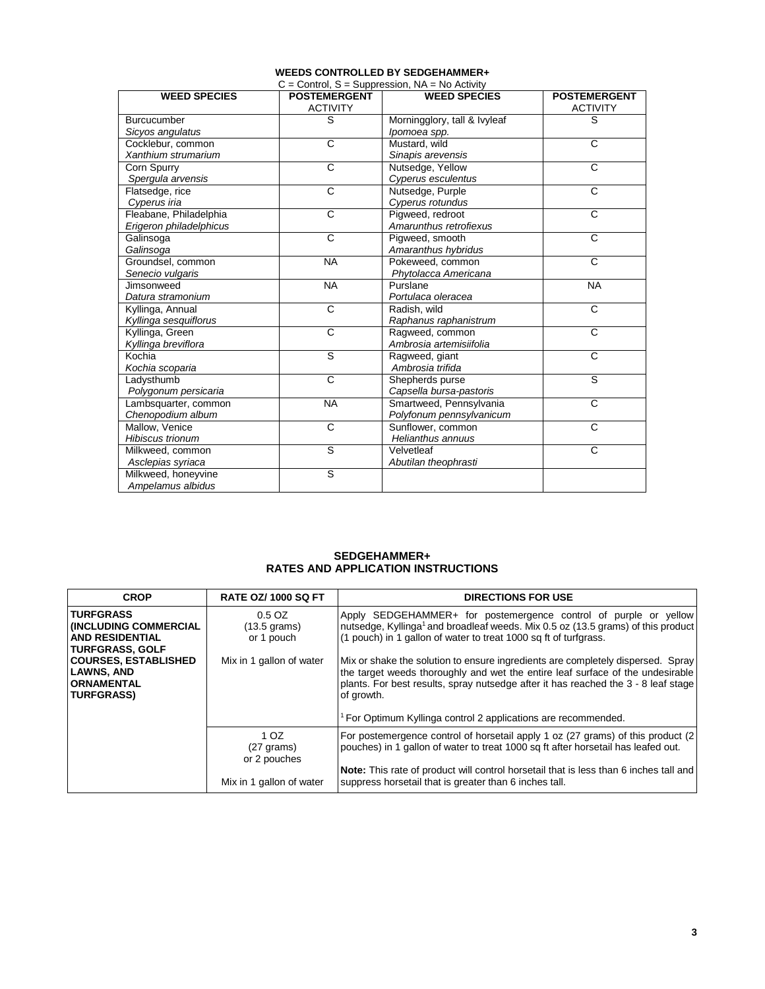| <b>WEED SPECIES</b>     | <b>POSTEMERGENT</b>   | <b>WEED SPECIES</b>          | <b>POSTEMERGENT</b>   |
|-------------------------|-----------------------|------------------------------|-----------------------|
|                         | <b>ACTIVITY</b>       |                              | <b>ACTIVITY</b>       |
| <b>Burcucumber</b>      | S                     | Morningglory, tall & Ivyleaf | S                     |
| Sicyos angulatus        |                       | Ipomoea spp.                 |                       |
| Cocklebur, common       | C                     | Mustard, wild                | $\mathbf C$           |
| Xanthium strumarium     |                       | Sinapis arevensis            |                       |
| Corn Spurry             | $\overline{C}$        | Nutsedge, Yellow             | $\overline{\text{c}}$ |
| Spergula arvensis       |                       | Cyperus esculentus           |                       |
| Flatsedge, rice         | $\overline{C}$        | Nutsedge, Purple             | $\overline{c}$        |
| Cyperus iria            |                       | Cyperus rotundus             |                       |
| Fleabane, Philadelphia  | $\overline{\text{c}}$ | Pigweed, redroot             | $\overline{\text{c}}$ |
| Erigeron philadelphicus |                       | Amarunthus retrofiexus       |                       |
| Galinsoga               | C                     | Pigweed, smooth              | C                     |
| Galinsoga               |                       | Amaranthus hybridus          |                       |
| Groundsel, common       | <b>NA</b>             | Pokeweed, common             | $\overline{c}$        |
| Senecio vulgaris        |                       | Phytolacca Americana         |                       |
| Jimsonweed              | <b>NA</b>             | Purslane                     | <b>NA</b>             |
| Datura stramonium       |                       | Portulaca oleracea           |                       |
| Kyllinga, Annual        | C                     | Radish, wild                 | $\mathsf{C}$          |
| Kyllinga sesquiflorus   |                       | Raphanus raphanistrum        |                       |
| Kyllinga, Green         | $\overline{C}$        | Ragweed, common              | $\overline{c}$        |
| Kyllinga breviflora     |                       | Ambrosia artemisiifolia      |                       |
| Kochia                  | ड                     | Ragweed, giant               | $\overline{c}$        |
| Kochia scoparia         |                       | Ambrosia trifida             |                       |
| Ladysthumb              | $\overline{C}$        | Shepherds purse              | S                     |
| Polygonum persicaria    |                       | Capsella bursa-pastoris      |                       |
| Lambsquarter, common    | <b>NA</b>             | Smartweed, Pennsylvania      | C                     |
| Chenopodium album       |                       | Polyfonum pennsylvanicum     |                       |
| Mallow, Venice          | C                     | Sunflower, common            | C                     |
| <b>Hibiscus trionum</b> |                       | Helianthus annuus            |                       |
| Milkweed, common        | S                     | Velvetleaf                   | $\overline{c}$        |
| Asclepias syriaca       |                       | Abutilan theophrasti         |                       |
| Milkweed, honeyvine     | ड                     |                              |                       |
| Ampelamus albidus       |                       |                              |                       |

## **WEEDS CONTROLLED BY SEDGEHAMMER+**

## **SEDGEHAMMER+ RATES AND APPLICATION INSTRUCTIONS**

| <b>CROP</b>                                                                                         | <b>RATE OZ/ 1000 SQ FT</b>                     | <b>DIRECTIONS FOR USE</b>                                                                                                                                                                                                                                                                                                                          |
|-----------------------------------------------------------------------------------------------------|------------------------------------------------|----------------------------------------------------------------------------------------------------------------------------------------------------------------------------------------------------------------------------------------------------------------------------------------------------------------------------------------------------|
| <b>TURFGRASS</b><br><b>INCLUDING COMMERCIAL</b><br><b>AND RESIDENTIAL</b><br><b>TURFGRASS, GOLF</b> | 0.5 OZ<br>$(13.5 \text{ grams})$<br>or 1 pouch | Apply SEDGEHAMMER+ for postemergence control of purple or yellow<br>nutsedge, Kyllinga <sup>1</sup> and broadleaf weeds. Mix 0.5 oz (13.5 grams) of this product<br>(1 pouch) in 1 gallon of water to treat 1000 sq ft of turfgrass.                                                                                                               |
| <b>COURSES, ESTABLISHED</b><br><b>LAWNS, AND</b><br><b>ORNAMENTAL</b><br><b>TURFGRASS)</b>          | Mix in 1 gallon of water                       | Mix or shake the solution to ensure ingredients are completely dispersed. Spray<br>the target weeds thoroughly and wet the entire leaf surface of the undesirable<br>plants. For best results, spray nutsedge after it has reached the 3 - 8 leaf stage<br>of growth.<br><sup>1</sup> For Optimum Kyllinga control 2 applications are recommended. |
|                                                                                                     |                                                |                                                                                                                                                                                                                                                                                                                                                    |
|                                                                                                     | 1 OZ<br>$(27 \text{ grams})$<br>or 2 pouches   | For postemergence control of horsetail apply 1 oz (27 grams) of this product (2<br>pouches) in 1 gallon of water to treat 1000 sq ft after horsetail has leafed out.                                                                                                                                                                               |
|                                                                                                     | Mix in 1 gallon of water                       | Note: This rate of product will control horsetail that is less than 6 inches tall and<br>suppress horsetail that is greater than 6 inches tall.                                                                                                                                                                                                    |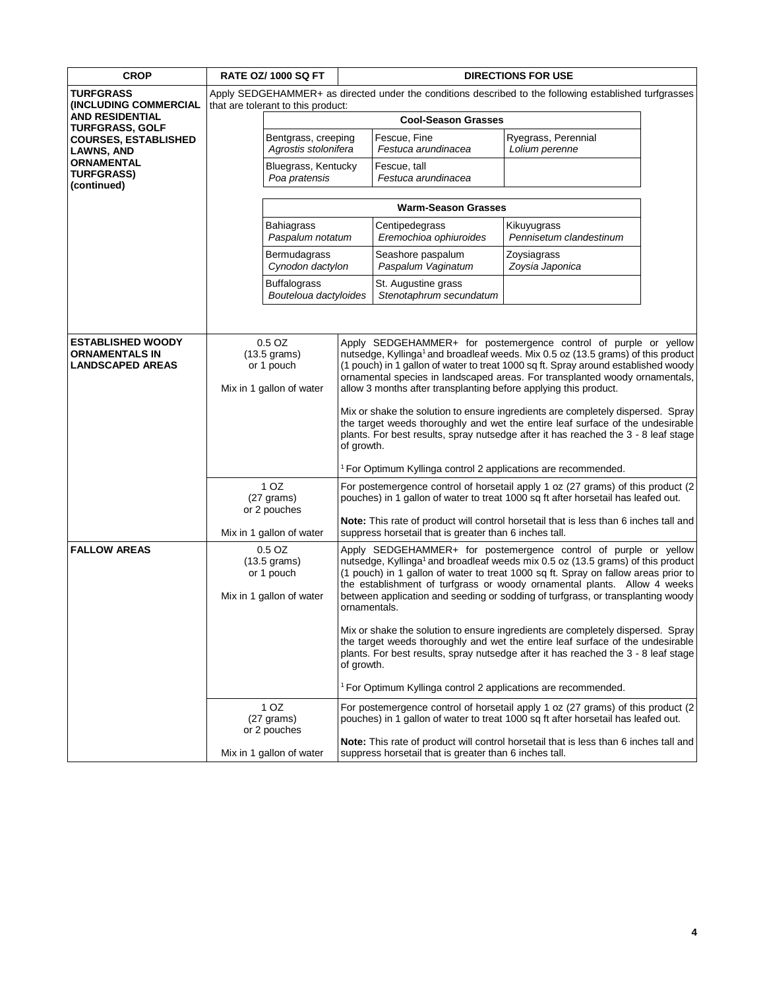| <b>CROP</b>                                                                  | <b>RATE OZ/ 1000 SQ FT</b>                                                                             |                                                                                                 | <b>DIRECTIONS FOR USE</b>                                                                                                                                                                                                                                                                                                                                                                                                                                                                                                                                                                                                                                                                                                                                                                                                             |                                                                           |                                                                                                                                                                                                                                                                                                                                                                                                                      |
|------------------------------------------------------------------------------|--------------------------------------------------------------------------------------------------------|-------------------------------------------------------------------------------------------------|---------------------------------------------------------------------------------------------------------------------------------------------------------------------------------------------------------------------------------------------------------------------------------------------------------------------------------------------------------------------------------------------------------------------------------------------------------------------------------------------------------------------------------------------------------------------------------------------------------------------------------------------------------------------------------------------------------------------------------------------------------------------------------------------------------------------------------------|---------------------------------------------------------------------------|----------------------------------------------------------------------------------------------------------------------------------------------------------------------------------------------------------------------------------------------------------------------------------------------------------------------------------------------------------------------------------------------------------------------|
| <b>TURFGRASS</b>                                                             | Apply SEDGEHAMMER+ as directed under the conditions described to the following established turfgrasses |                                                                                                 |                                                                                                                                                                                                                                                                                                                                                                                                                                                                                                                                                                                                                                                                                                                                                                                                                                       |                                                                           |                                                                                                                                                                                                                                                                                                                                                                                                                      |
| (INCLUDING COMMERCIAL<br><b>AND RESIDENTIAL</b>                              | that are tolerant to this product:<br><b>Cool-Season Grasses</b>                                       |                                                                                                 |                                                                                                                                                                                                                                                                                                                                                                                                                                                                                                                                                                                                                                                                                                                                                                                                                                       |                                                                           |                                                                                                                                                                                                                                                                                                                                                                                                                      |
| <b>TURFGRASS, GOLF</b><br><b>COURSES, ESTABLISHED</b>                        |                                                                                                        | Bentgrass, creeping                                                                             |                                                                                                                                                                                                                                                                                                                                                                                                                                                                                                                                                                                                                                                                                                                                                                                                                                       | Fescue, Fine                                                              | Ryegrass, Perennial                                                                                                                                                                                                                                                                                                                                                                                                  |
| <b>LAWNS, AND</b>                                                            |                                                                                                        | Agrostis stolonifera                                                                            |                                                                                                                                                                                                                                                                                                                                                                                                                                                                                                                                                                                                                                                                                                                                                                                                                                       | Festuca arundinacea                                                       | Lolium perenne                                                                                                                                                                                                                                                                                                                                                                                                       |
| <b>ORNAMENTAL</b><br><b>TURFGRASS)</b>                                       |                                                                                                        | Bluegrass, Kentucky                                                                             |                                                                                                                                                                                                                                                                                                                                                                                                                                                                                                                                                                                                                                                                                                                                                                                                                                       | Fescue, tall                                                              |                                                                                                                                                                                                                                                                                                                                                                                                                      |
| (continued)                                                                  | Poa pratensis                                                                                          |                                                                                                 |                                                                                                                                                                                                                                                                                                                                                                                                                                                                                                                                                                                                                                                                                                                                                                                                                                       | Festuca arundinacea                                                       |                                                                                                                                                                                                                                                                                                                                                                                                                      |
|                                                                              |                                                                                                        | <b>Warm-Season Grasses</b>                                                                      |                                                                                                                                                                                                                                                                                                                                                                                                                                                                                                                                                                                                                                                                                                                                                                                                                                       |                                                                           |                                                                                                                                                                                                                                                                                                                                                                                                                      |
|                                                                              |                                                                                                        | <b>Bahiagrass</b><br>Paspalum notatum                                                           |                                                                                                                                                                                                                                                                                                                                                                                                                                                                                                                                                                                                                                                                                                                                                                                                                                       | Centipedegrass<br>Eremochioa ophiuroides                                  | Kikuyugrass<br>Pennisetum clandestinum                                                                                                                                                                                                                                                                                                                                                                               |
|                                                                              |                                                                                                        | Bermudagrass<br>Cynodon dactylon                                                                |                                                                                                                                                                                                                                                                                                                                                                                                                                                                                                                                                                                                                                                                                                                                                                                                                                       | Seashore paspalum<br>Paspalum Vaginatum                                   | Zoysiagrass<br>Zoysia Japonica                                                                                                                                                                                                                                                                                                                                                                                       |
|                                                                              |                                                                                                        | <b>Buffalograss</b><br>Bouteloua dactyloides                                                    |                                                                                                                                                                                                                                                                                                                                                                                                                                                                                                                                                                                                                                                                                                                                                                                                                                       | St. Augustine grass<br>Stenotaphrum secundatum                            |                                                                                                                                                                                                                                                                                                                                                                                                                      |
|                                                                              |                                                                                                        |                                                                                                 |                                                                                                                                                                                                                                                                                                                                                                                                                                                                                                                                                                                                                                                                                                                                                                                                                                       |                                                                           |                                                                                                                                                                                                                                                                                                                                                                                                                      |
| <b>ESTABLISHED WOODY</b><br><b>ORNAMENTALS IN</b><br><b>LANDSCAPED AREAS</b> |                                                                                                        | $0.5$ OZ<br>$(13.5 \text{ grams})$<br>or 1 pouch<br>Mix in 1 gallon of water<br>1 <sub>OZ</sub> | Apply SEDGEHAMMER+ for postemergence control of purple or yellow<br>nutsedge, Kyllinga <sup>1</sup> and broadleaf weeds. Mix 0.5 oz (13.5 grams) of this product<br>(1 pouch) in 1 gallon of water to treat 1000 sq ft. Spray around established woody<br>ornamental species in landscaped areas. For transplanted woody ornamentals,<br>allow 3 months after transplanting before applying this product.<br>Mix or shake the solution to ensure ingredients are completely dispersed. Spray<br>the target weeds thoroughly and wet the entire leaf surface of the undesirable<br>plants. For best results, spray nutsedge after it has reached the 3 - 8 leaf stage<br>of growth.<br>For Optimum Kyllinga control 2 applications are recommended.<br>For postemergence control of horsetail apply 1 oz (27 grams) of this product (2 |                                                                           |                                                                                                                                                                                                                                                                                                                                                                                                                      |
|                                                                              |                                                                                                        | $(27 \text{ grams})$<br>or 2 pouches                                                            |                                                                                                                                                                                                                                                                                                                                                                                                                                                                                                                                                                                                                                                                                                                                                                                                                                       |                                                                           | pouches) in 1 gallon of water to treat 1000 sq ft after horsetail has leafed out.<br>Note: This rate of product will control horsetail that is less than 6 inches tall and                                                                                                                                                                                                                                           |
|                                                                              | Mix in 1 gallon of water                                                                               |                                                                                                 |                                                                                                                                                                                                                                                                                                                                                                                                                                                                                                                                                                                                                                                                                                                                                                                                                                       | suppress horsetail that is greater than 6 inches tall.                    |                                                                                                                                                                                                                                                                                                                                                                                                                      |
| <b>FALLOW AREAS</b>                                                          | $0.5$ OZ<br>$(13.5 \text{ grams})$<br>or 1 pouch<br>Mix in 1 gallon of water                           |                                                                                                 | ornamentals.                                                                                                                                                                                                                                                                                                                                                                                                                                                                                                                                                                                                                                                                                                                                                                                                                          |                                                                           | Apply SEDGEHAMMER+ for postemergence control of purple or yellow<br>nutsedge, Kyllinga <sup>1</sup> and broadleaf weeds mix 0.5 oz (13.5 grams) of this product<br>(1 pouch) in 1 gallon of water to treat 1000 sq ft. Spray on fallow areas prior to<br>the establishment of turfgrass or woody ornamental plants. Allow 4 weeks<br>between application and seeding or sodding of turfgrass, or transplanting woody |
|                                                                              |                                                                                                        |                                                                                                 | of growth.                                                                                                                                                                                                                                                                                                                                                                                                                                                                                                                                                                                                                                                                                                                                                                                                                            |                                                                           | Mix or shake the solution to ensure ingredients are completely dispersed. Spray<br>the target weeds thoroughly and wet the entire leaf surface of the undesirable<br>plants. For best results, spray nutsedge after it has reached the 3 - 8 leaf stage                                                                                                                                                              |
|                                                                              |                                                                                                        |                                                                                                 |                                                                                                                                                                                                                                                                                                                                                                                                                                                                                                                                                                                                                                                                                                                                                                                                                                       | <sup>1</sup> For Optimum Kyllinga control 2 applications are recommended. |                                                                                                                                                                                                                                                                                                                                                                                                                      |
|                                                                              |                                                                                                        | 1 OZ<br>$(27 \text{ grams})$<br>or 2 pouches                                                    |                                                                                                                                                                                                                                                                                                                                                                                                                                                                                                                                                                                                                                                                                                                                                                                                                                       |                                                                           | For postemergence control of horsetail apply 1 oz (27 grams) of this product (2<br>pouches) in 1 gallon of water to treat 1000 sq ft after horsetail has leafed out.                                                                                                                                                                                                                                                 |
|                                                                              |                                                                                                        | Mix in 1 gallon of water                                                                        |                                                                                                                                                                                                                                                                                                                                                                                                                                                                                                                                                                                                                                                                                                                                                                                                                                       | suppress horsetail that is greater than 6 inches tall.                    | Note: This rate of product will control horsetail that is less than 6 inches tall and                                                                                                                                                                                                                                                                                                                                |